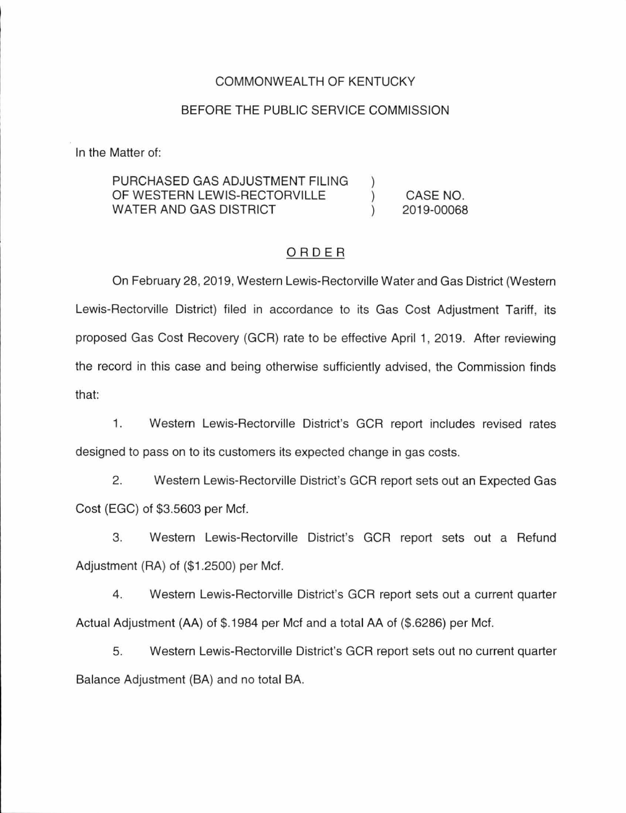#### COMMONWEALTH OF KENTUCKY

#### BEFORE THE PUBLIC SERVICE COMMISSION

In the Matter of:

#### PURCHASED GAS ADJUSTMENT FILING OF WESTERN LEWIS-RECTORVILLE  $\mathcal{E}$ CASE NO. WATER AND GAS DISTRICT 2019-00068  $\mathcal{L}$

### ORDER

On February 28, 2019, Western Lewis-Rectorville Water and Gas District (Western Lewis-Rectorville District) filed in accordance to its Gas Cost Adjustment Tariff, its proposed Gas Cost Recovery (GCR) rate to be effective April 1, 2019. After reviewing the record in this case and being otherwise sufficiently advised, the Commission finds that:

1. Western Lewis-Rectorville District's GCR report includes revised rates designed to pass on to its customers its expected change in gas costs.

2. Western Lewis-Rectorville District's GCR report sets out an Expected Gas Cost (EGC) of \$3.5603 per Mcf.

3. Western Lewis-Rectorville District's GCR report sets out a Refund Adjustment (RA) of (\$1.2500) per Met.

4. Western Lewis-Rectorville District's GCR report sets out a current quarter Actual Adjustment (AA) of \$.1984 per Mcf and a total AA of (\$.6286) per Met.

5. Western Lewis-Rectorville District's GCR report sets out no current quarter Balance Adjustment (BA) and no total BA.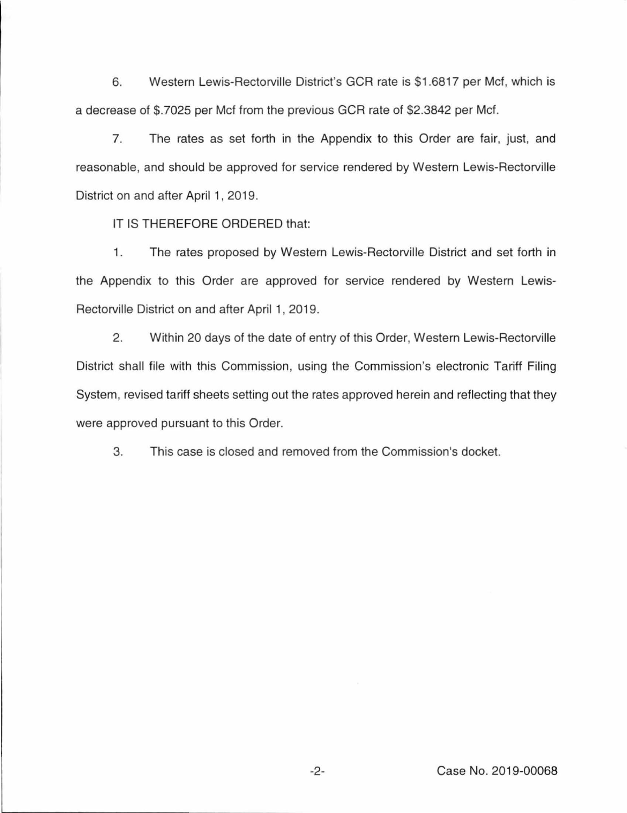6. Western Lewis-Rectorville District's GCR rate is \$1.6817 per Met, which is a decrease of \$.7025 per Met from the previous GCR rate of \$2.3842 per Met.

7. The rates as set forth in the Appendix to this Order are fair, just, and reasonable, and should be approved for service rendered by Western Lewis-Rectorville District on and after April 1, 2019.

IT IS THEREFORE ORDERED that:

1. The rates proposed by Western Lewis-Rectorville District and set forth in the Appendix to this Order are approved for service rendered by Western Lewis-Rectorville District on and after April 1, 2019.

2. Within 20 days of the date of entry of this Order, Western Lewis-Rectorville District shall file with this Commission, using the Commission's electronic Tariff Filing System, revised tariff sheets setting out the rates approved herein and reflecting that they were approved pursuant to this Order.

3. This case is closed and removed from the Commission's docket.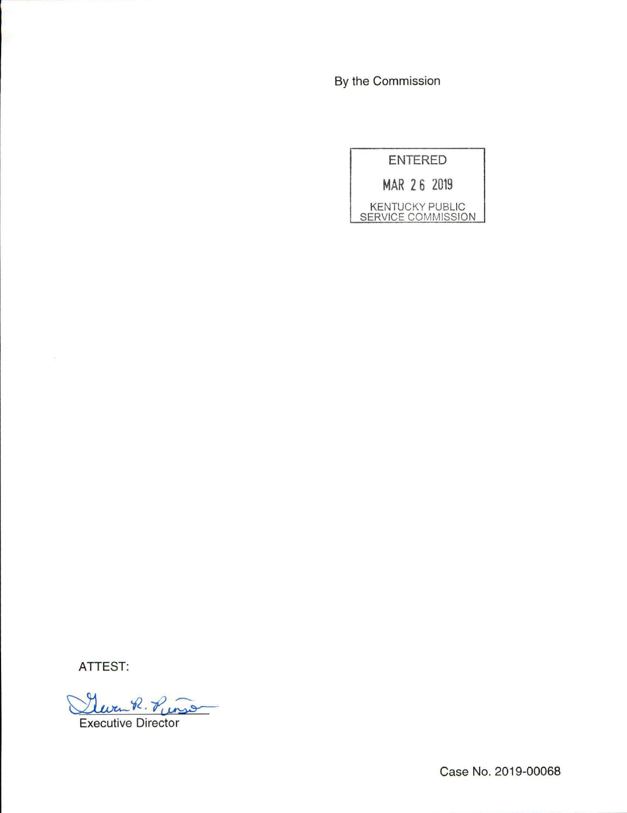By the Commission

ENTERED

MAR 2 6 2019

KENTUCKY PUBLIC SERVICE COMMISSION

ATTEST:

Glura R. Punso

Executive Director

Case No. 2019-00068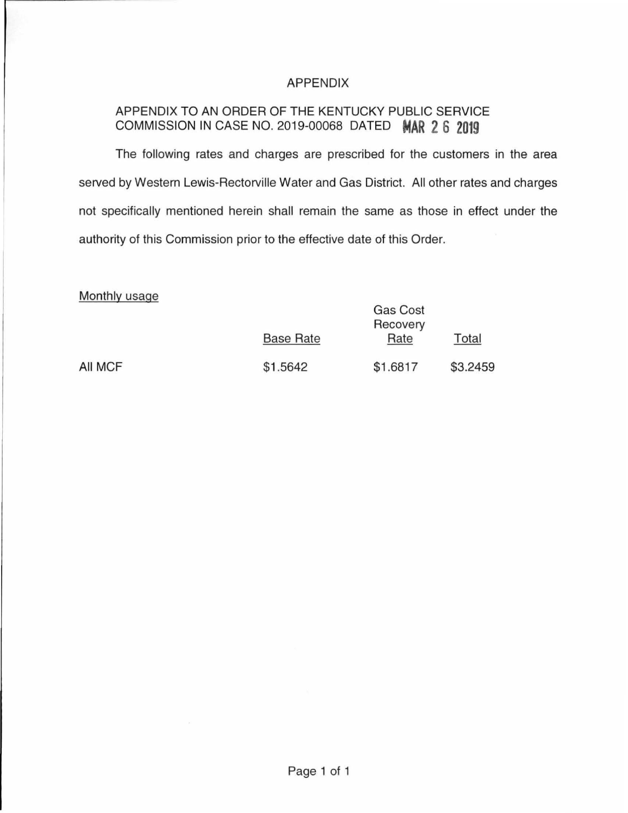## APPENDIX

# APPENDIX TO AN ORDER OF THE KENTUCKY PUBLIC SERVICE COMMISSION IN CASE NO. 2019-00068 DATED **MAR 2 6 2019**

The following rates and charges are prescribed for the customers in the area served by Western Lewis-Rectorville Water and Gas District. All other rates and charges not specifically mentioned herein shall remain the same as those in effect under the authority of this Commission prior to the effective date of this Order.

#### Monthly usage

|         |                  | <b>Gas Cost</b><br>Recovery |          |  |
|---------|------------------|-----------------------------|----------|--|
|         | <b>Base Rate</b> | Rate                        | Total    |  |
| All MCF | \$1.5642         | \$1.6817                    | \$3.2459 |  |